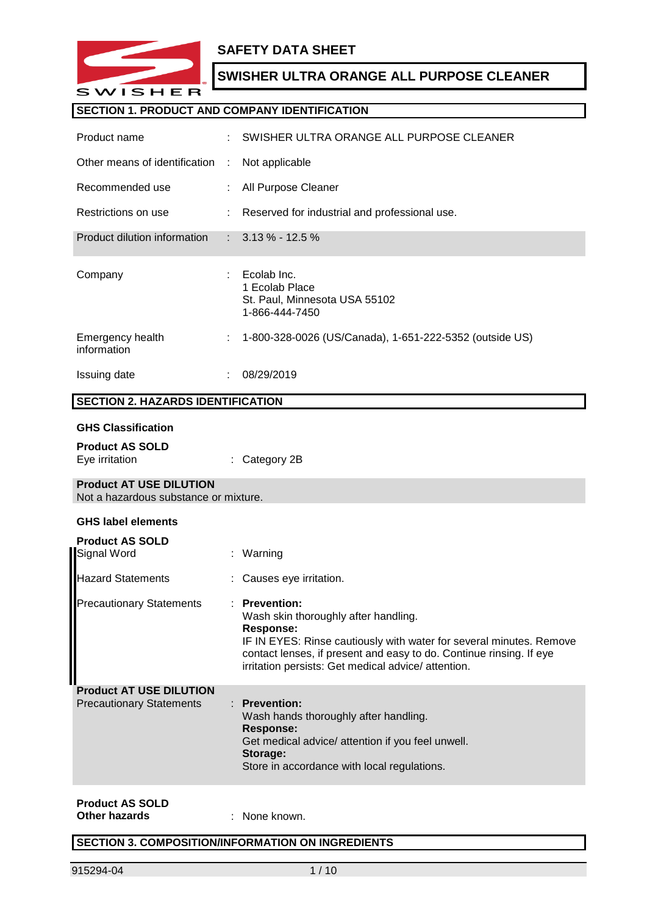

### **SAFETY DATA SHEET**

### **SWISHER ULTRA ORANGE ALL PURPOSE CLEANER**

#### **SECTION 1. PRODUCT AND COMPANY IDENTIFICATION**

| Product name                                                            |    | SWISHER ULTRA ORANGE ALL PURPOSE CLEANER                                                                                                                                                                                                                                       |
|-------------------------------------------------------------------------|----|--------------------------------------------------------------------------------------------------------------------------------------------------------------------------------------------------------------------------------------------------------------------------------|
| Other means of identification                                           | ÷  | Not applicable                                                                                                                                                                                                                                                                 |
| Recommended use                                                         |    | All Purpose Cleaner                                                                                                                                                                                                                                                            |
| Restrictions on use                                                     |    | Reserved for industrial and professional use.                                                                                                                                                                                                                                  |
| Product dilution information                                            | t. | $3.13\% - 12.5\%$                                                                                                                                                                                                                                                              |
| Company                                                                 |    | Ecolab Inc.<br>1 Ecolab Place<br>St. Paul, Minnesota USA 55102<br>1-866-444-7450                                                                                                                                                                                               |
| Emergency health<br>information                                         |    | 1-800-328-0026 (US/Canada), 1-651-222-5352 (outside US)                                                                                                                                                                                                                        |
| <b>Issuing date</b>                                                     |    | 08/29/2019                                                                                                                                                                                                                                                                     |
| <b>SECTION 2. HAZARDS IDENTIFICATION</b>                                |    |                                                                                                                                                                                                                                                                                |
| <b>GHS Classification</b>                                               |    |                                                                                                                                                                                                                                                                                |
| <b>Product AS SOLD</b><br>Eye irritation                                |    | Category 2B                                                                                                                                                                                                                                                                    |
| <b>Product AT USE DILUTION</b><br>Not a hazardous substance or mixture. |    |                                                                                                                                                                                                                                                                                |
| <b>GHS label elements</b>                                               |    |                                                                                                                                                                                                                                                                                |
| <b>Product AS SOLD</b><br>Signal Word                                   |    | Warning                                                                                                                                                                                                                                                                        |
| <b>Hazard Statements</b>                                                |    | Causes eye irritation.                                                                                                                                                                                                                                                         |
| <b>Precautionary Statements</b>                                         |    | : Prevention:<br>Wash skin thoroughly after handling.<br><b>Response:</b><br>IF IN EYES: Rinse cautiously with water for several minutes. Remove<br>contact lenses, if present and easy to do. Continue rinsing. If eye<br>irritation persists: Get medical advice/ attention. |
| <b>Product AT USE DILUTION</b><br><b>Precautionary Statements</b>       |    | <b>Prevention:</b><br>Wash hands thoroughly after handling.<br><b>Response:</b><br>Get medical advice/ attention if you feel unwell.<br>Storage:<br>Store in accordance with local regulations.                                                                                |

# **Product AS SOLD**

**Other hazards** : None known.

#### **SECTION 3. COMPOSITION/INFORMATION ON INGREDIENTS**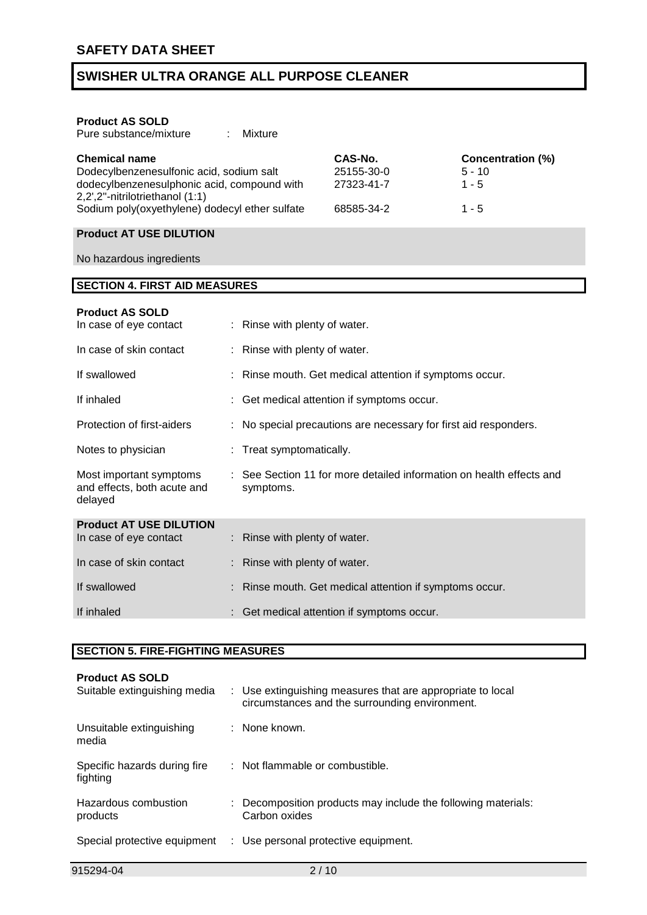| <b>Product AS SOLD</b> |
|------------------------|
|------------------------|

| <b>Chemical name</b>                           | CAS-No.    | Concentration (%) |
|------------------------------------------------|------------|-------------------|
| Dodecylbenzenesulfonic acid, sodium salt       | 25155-30-0 | $5 - 10$          |
| dodecylbenzenesulphonic acid, compound with    | 27323-41-7 | $1 - 5$           |
| 2,2',2"-nitrilotriethanol (1:1)                |            |                   |
| Sodium poly(oxyethylene) dodecyl ether sulfate | 68585-34-2 | $1 - 5$           |

### **Product AT USE DILUTION**

No hazardous ingredients

#### **SECTION 4. FIRST AID MEASURES**

#### **Product AS SOLD**

| In case of eye contact                                            | : Rinse with plenty of water.                                                     |
|-------------------------------------------------------------------|-----------------------------------------------------------------------------------|
| In case of skin contact                                           | : Rinse with plenty of water.                                                     |
| If swallowed                                                      | : Rinse mouth. Get medical attention if symptoms occur.                           |
| If inhaled                                                        | : Get medical attention if symptoms occur.                                        |
| Protection of first-aiders                                        | : No special precautions are necessary for first aid responders.                  |
| Notes to physician                                                | : Treat symptomatically.                                                          |
| Most important symptoms<br>and effects, both acute and<br>delayed | : See Section 11 for more detailed information on health effects and<br>symptoms. |
| <b>Product AT USE DILUTION</b>                                    |                                                                                   |
| In case of eye contact                                            | $:$ Rinse with plenty of water.                                                   |
| In case of skin contact                                           | : Rinse with plenty of water.                                                     |
| If swallowed                                                      | : Rinse mouth. Get medical attention if symptoms occur.                           |
| If inhaled                                                        | : Get medical attention if symptoms occur.                                        |

#### **SECTION 5. FIRE-FIGHTING MEASURES**

| <b>Product AS SOLD</b><br>Suitable extinguishing media | : Use extinguishing measures that are appropriate to local<br>circumstances and the surrounding environment. |
|--------------------------------------------------------|--------------------------------------------------------------------------------------------------------------|
| Unsuitable extinguishing<br>media                      | : None known.                                                                                                |
| Specific hazards during fire<br>fighting               | : Not flammable or combustible.                                                                              |
| Hazardous combustion<br>products                       | : Decomposition products may include the following materials:<br>Carbon oxides                               |
| Special protective equipment                           | : Use personal protective equipment.                                                                         |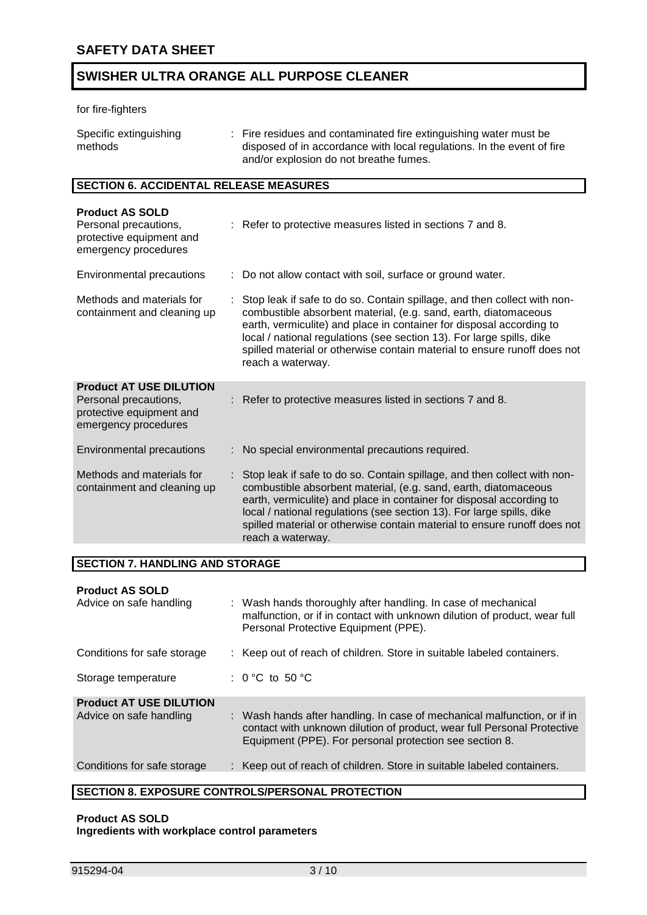#### for fire-fighters

| Specific extinguishing | : Fire residues and contaminated fire extinguishing water must be      |
|------------------------|------------------------------------------------------------------------|
| methods                | disposed of in accordance with local regulations. In the event of fire |
|                        | and/or explosion do not breathe fumes.                                 |

#### **SECTION 6. ACCIDENTAL RELEASE MEASURES**

| <b>Product AS SOLD</b><br>Personal precautions,<br>protective equipment and<br>emergency procedures         | : Refer to protective measures listed in sections 7 and 8.                                                                                                                                                                                                                                                                                                                                    |
|-------------------------------------------------------------------------------------------------------------|-----------------------------------------------------------------------------------------------------------------------------------------------------------------------------------------------------------------------------------------------------------------------------------------------------------------------------------------------------------------------------------------------|
| Environmental precautions                                                                                   | : Do not allow contact with soil, surface or ground water.                                                                                                                                                                                                                                                                                                                                    |
| Methods and materials for<br>containment and cleaning up                                                    | Stop leak if safe to do so. Contain spillage, and then collect with non-<br>combustible absorbent material, (e.g. sand, earth, diatomaceous<br>earth, vermiculite) and place in container for disposal according to<br>local / national regulations (see section 13). For large spills, dike<br>spilled material or otherwise contain material to ensure runoff does not<br>reach a waterway. |
| <b>Product AT USE DILUTION</b><br>Personal precautions,<br>protective equipment and<br>emergency procedures | : Refer to protective measures listed in sections 7 and 8.                                                                                                                                                                                                                                                                                                                                    |
| Environmental precautions                                                                                   | No special environmental precautions required.                                                                                                                                                                                                                                                                                                                                                |
| Methods and materials for<br>containment and cleaning up                                                    | Stop leak if safe to do so. Contain spillage, and then collect with non-<br>combustible absorbent material, (e.g. sand, earth, diatomaceous<br>earth, vermiculite) and place in container for disposal according to<br>local / national regulations (see section 13). For large spills, dike<br>spilled material or otherwise contain material to ensure runoff does not<br>reach a waterway. |

#### **SECTION 7. HANDLING AND STORAGE**

#### **Product AS SOLD**

| Advice on safe handling        | : Wash hands thoroughly after handling. In case of mechanical<br>malfunction, or if in contact with unknown dilution of product, wear full<br>Personal Protective Equipment (PPE).                             |
|--------------------------------|----------------------------------------------------------------------------------------------------------------------------------------------------------------------------------------------------------------|
| Conditions for safe storage    | : Keep out of reach of children. Store in suitable labeled containers.                                                                                                                                         |
| Storage temperature            | : $0^{\circ}$ C to 50 $^{\circ}$ C                                                                                                                                                                             |
| <b>Product AT USE DILUTION</b> |                                                                                                                                                                                                                |
| Advice on safe handling        | : Wash hands after handling. In case of mechanical malfunction, or if in<br>contact with unknown dilution of product, wear full Personal Protective<br>Equipment (PPE). For personal protection see section 8. |
| Conditions for safe storage    | : Keep out of reach of children. Store in suitable labeled containers.                                                                                                                                         |
|                                |                                                                                                                                                                                                                |

#### **SECTION 8. EXPOSURE CONTROLS/PERSONAL PROTECTION**

#### **Product AS SOLD Ingredients with workplace control parameters**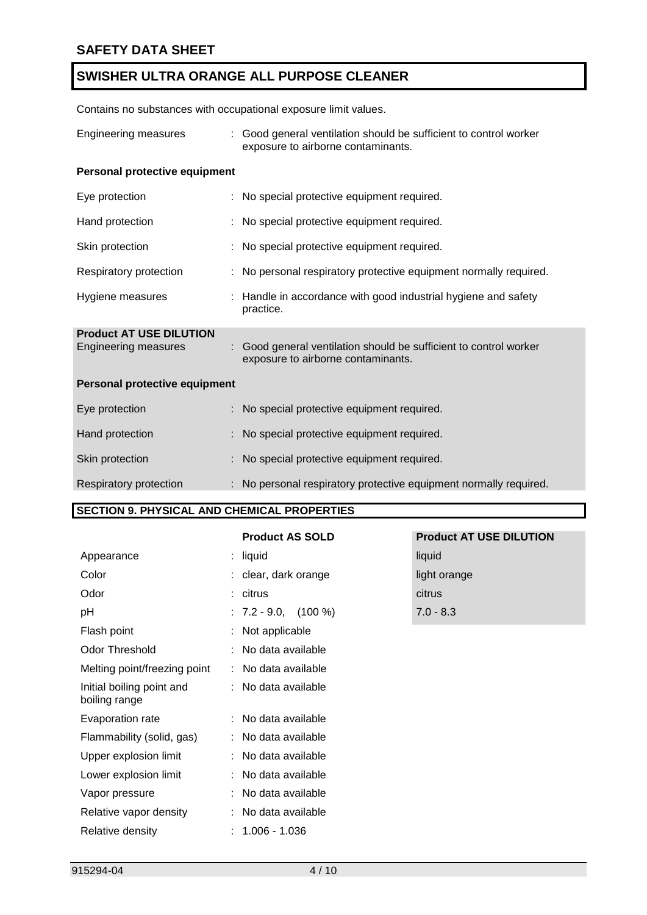Contains no substances with occupational exposure limit values.

| <b>Engineering measures</b>                            | Good general ventilation should be sufficient to control worker<br>exposure to airborne contaminants. |  |
|--------------------------------------------------------|-------------------------------------------------------------------------------------------------------|--|
| Personal protective equipment                          |                                                                                                       |  |
| Eye protection                                         | : No special protective equipment required.                                                           |  |
| Hand protection                                        | : No special protective equipment required.                                                           |  |
| Skin protection                                        | : No special protective equipment required.                                                           |  |
| Respiratory protection                                 | : No personal respiratory protective equipment normally required.                                     |  |
| Hygiene measures                                       | : Handle in accordance with good industrial hygiene and safety<br>practice.                           |  |
| <b>Product AT USE DILUTION</b><br>Engineering measures | Good general ventilation should be sufficient to control worker<br>exposure to airborne contaminants. |  |
| Personal protective equipment                          |                                                                                                       |  |
| Eye protection                                         | No special protective equipment required.                                                             |  |
| Hand protection                                        | No special protective equipment required.                                                             |  |
| Skin protection                                        | No special protective equipment required.                                                             |  |
| Respiratory protection                                 | : No personal respiratory protective equipment normally required.                                     |  |

#### **SECTION 9. PHYSICAL AND CHEMICAL PROPERTIES**

| <b>Product AS SOLD</b> |  |  |
|------------------------|--|--|
|                        |  |  |

|                                            | <b>Product AS SOLD</b> | <b>Product AT USE DILUTION</b> |
|--------------------------------------------|------------------------|--------------------------------|
| Appearance                                 | $:$ liquid             | liquid                         |
| Color                                      | : clear, dark orange   | light orange                   |
| Odor                                       | : citrus               | citrus                         |
| pH                                         | $: 7.2 - 9.0, (100\%)$ | $7.0 - 8.3$                    |
| Flash point                                | : Not applicable       |                                |
| <b>Odor Threshold</b>                      | : No data available    |                                |
| Melting point/freezing point               | : No data available    |                                |
| Initial boiling point and<br>boiling range | : No data available    |                                |
| Evaporation rate                           | : No data available    |                                |
| Flammability (solid, gas)                  | : No data available    |                                |
| Upper explosion limit                      | : No data available    |                                |
| Lower explosion limit                      | : No data available    |                                |
| Vapor pressure                             | : No data available    |                                |
| Relative vapor density                     | : No data available    |                                |
| Relative density                           | $: 1.006 - 1.036$      |                                |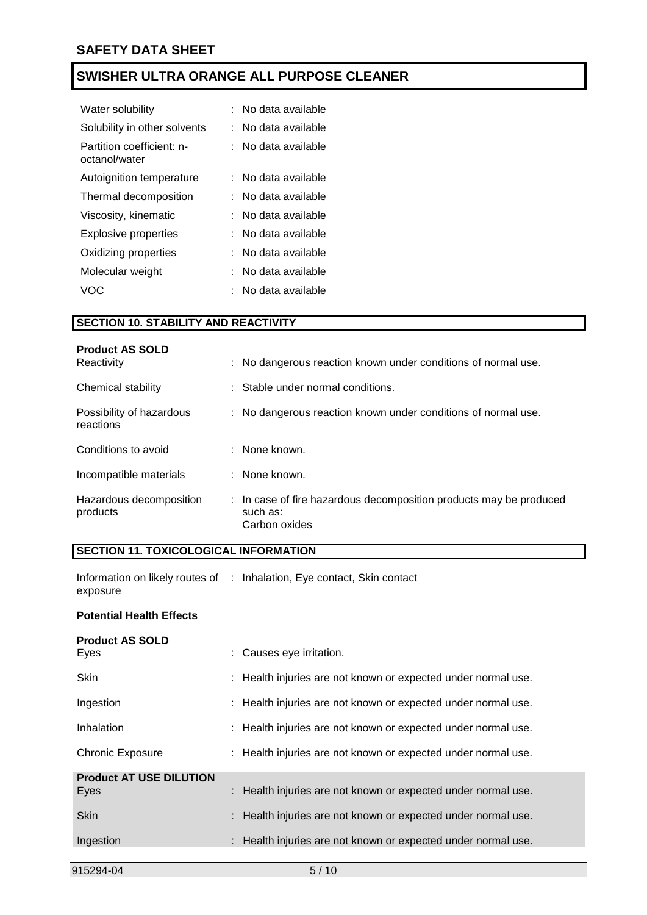| Water solubility                           | No data available |
|--------------------------------------------|-------------------|
| Solubility in other solvents               | No data available |
| Partition coefficient: n-<br>octanol/water | No data available |
| Autoignition temperature                   | No data available |
| Thermal decomposition                      | No data available |
| Viscosity, kinematic                       | No data available |
| Explosive properties                       | No data available |
| Oxidizing properties                       | No data available |
| Molecular weight                           | No data available |
| VOC.                                       | No data available |

#### **SECTION 10. STABILITY AND REACTIVITY**

| <b>Product AS SOLD</b><br>Reactivity  | : No dangerous reaction known under conditions of normal use.                                   |
|---------------------------------------|-------------------------------------------------------------------------------------------------|
| Chemical stability                    | : Stable under normal conditions.                                                               |
| Possibility of hazardous<br>reactions | : No dangerous reaction known under conditions of normal use.                                   |
| Conditions to avoid                   | $:$ None known.                                                                                 |
| Incompatible materials                | : None known.                                                                                   |
| Hazardous decomposition<br>products   | : In case of fire hazardous decomposition products may be produced<br>such as:<br>Carbon oxides |

### **SECTION 11. TOXICOLOGICAL INFORMATION**

Information on likely routes of : Inhalation, Eye contact, Skin contact exposure

#### **Potential Health Effects**

| <b>Product AS SOLD</b>         |                                                               |
|--------------------------------|---------------------------------------------------------------|
| Eyes                           | : Causes eye irritation.                                      |
| <b>Skin</b>                    | : Health injuries are not known or expected under normal use. |
| Ingestion                      | : Health injuries are not known or expected under normal use. |
| Inhalation                     | : Health injuries are not known or expected under normal use. |
| <b>Chronic Exposure</b>        | : Health injuries are not known or expected under normal use. |
| <b>Product AT USE DILUTION</b> |                                                               |
| Eyes                           | : Health injuries are not known or expected under normal use. |
| <b>Skin</b>                    | : Health injuries are not known or expected under normal use. |
| Ingestion                      | : Health injuries are not known or expected under normal use. |
|                                |                                                               |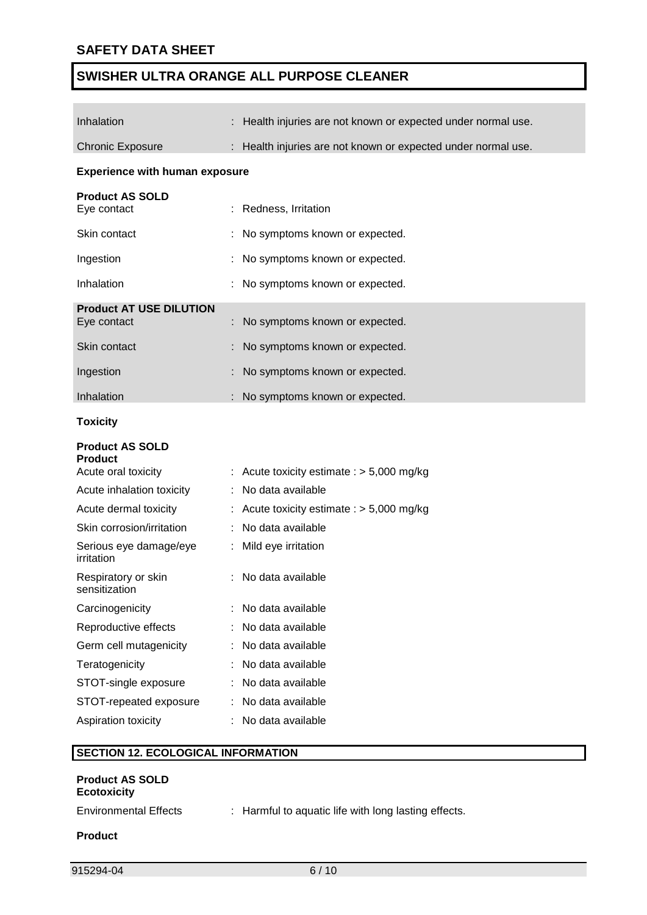| Inhalation                                                      |    | Health injuries are not known or expected under normal use. |  |  |
|-----------------------------------------------------------------|----|-------------------------------------------------------------|--|--|
| <b>Chronic Exposure</b>                                         |    | Health injuries are not known or expected under normal use. |  |  |
| <b>Experience with human exposure</b>                           |    |                                                             |  |  |
| <b>Product AS SOLD</b><br>Eye contact                           |    | Redness, Irritation                                         |  |  |
| Skin contact                                                    |    | No symptoms known or expected.                              |  |  |
| Ingestion                                                       |    | No symptoms known or expected.                              |  |  |
| Inhalation                                                      |    | No symptoms known or expected.                              |  |  |
| <b>Product AT USE DILUTION</b><br>Eye contact                   |    | No symptoms known or expected.                              |  |  |
| Skin contact                                                    |    | No symptoms known or expected.                              |  |  |
| Ingestion                                                       |    | No symptoms known or expected.                              |  |  |
| Inhalation                                                      |    | No symptoms known or expected.                              |  |  |
| <b>Toxicity</b>                                                 |    |                                                             |  |  |
| <b>Product AS SOLD</b><br><b>Product</b><br>Acute oral toxicity |    | Acute toxicity estimate : $> 5,000$ mg/kg                   |  |  |
| Acute inhalation toxicity                                       |    | : No data available                                         |  |  |
| Acute dermal toxicity                                           |    | : Acute toxicity estimate : $> 5,000$ mg/kg                 |  |  |
| Skin corrosion/irritation                                       |    | : No data available                                         |  |  |
| Serious eye damage/eye<br>irritation                            | ÷. | Mild eye irritation                                         |  |  |
| Respiratory or skin<br>sensitization                            |    | No data available                                           |  |  |
| Carcinogenicity                                                 |    | No data available                                           |  |  |
| Reproductive effects                                            |    | No data available                                           |  |  |
| Germ cell mutagenicity                                          |    | No data available                                           |  |  |
| Teratogenicity                                                  |    | No data available                                           |  |  |
| STOT-single exposure                                            |    | No data available                                           |  |  |
| STOT-repeated exposure                                          |    | No data available                                           |  |  |
| Aspiration toxicity                                             |    | No data available                                           |  |  |
| <b>SECTION 12. ECOLOGICAL INFORMATION</b>                       |    |                                                             |  |  |
| <b>Product AS SOLD</b>                                          |    |                                                             |  |  |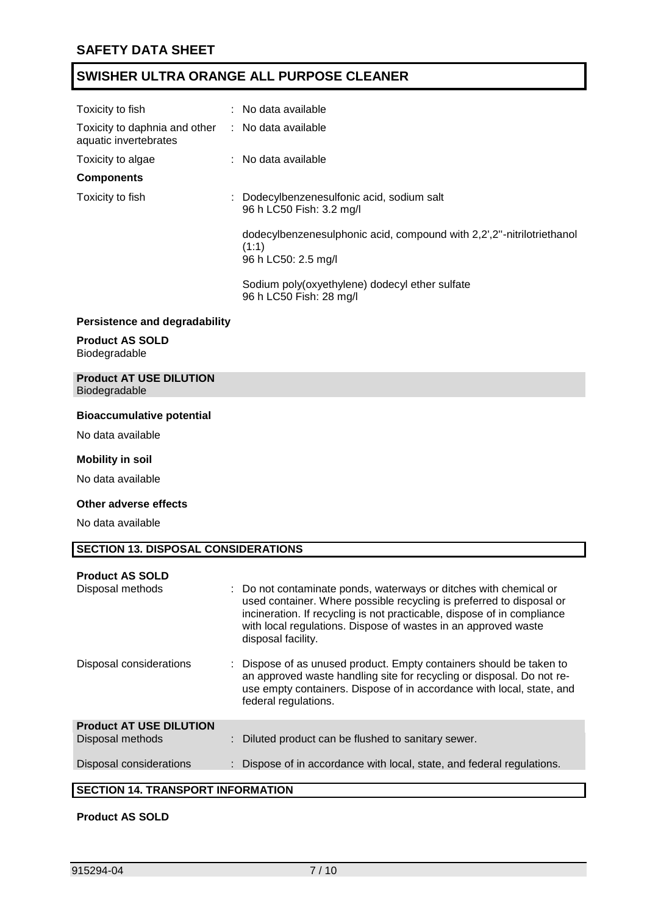| Toxicity to fish                                                           | $:$ No data available                                                                                 |  |  |
|----------------------------------------------------------------------------|-------------------------------------------------------------------------------------------------------|--|--|
| Toxicity to daphnia and other : No data available<br>aquatic invertebrates |                                                                                                       |  |  |
| Toxicity to algae                                                          | $:$ No data available                                                                                 |  |  |
| <b>Components</b>                                                          |                                                                                                       |  |  |
| Toxicity to fish                                                           | : Dodecylbenzenesulfonic acid, sodium salt<br>96 h LC50 Fish: 3.2 mg/l                                |  |  |
|                                                                            | dodecylbenzenesulphonic acid, compound with 2,2',2"-nitrilotriethanol<br>(1:1)<br>96 h LC50: 2.5 mg/l |  |  |
|                                                                            | Sodium poly(oxyethylene) dodecyl ether sulfate<br>96 h LC50 Fish: 28 mg/l                             |  |  |
| <b>Persistence and degradability</b>                                       |                                                                                                       |  |  |

#### **Persistence and degradability**

#### **Product AS SOLD** Biodegradable

#### **Product AT USE DILUTION** Biodegradable

#### **Bioaccumulative potential**

No data available

#### **Mobility in soil**

No data available

#### **Other adverse effects**

No data available

#### **SECTION 13. DISPOSAL CONSIDERATIONS**

|                                      | <b>Product AS SOLD</b> |  |
|--------------------------------------|------------------------|--|
| <b>Domestic Property Controllers</b> |                        |  |

| Disposal methods                         | : Do not contaminate ponds, waterways or ditches with chemical or<br>used container. Where possible recycling is preferred to disposal or<br>incineration. If recycling is not practicable, dispose of in compliance<br>with local regulations. Dispose of wastes in an approved waste<br>disposal facility. |
|------------------------------------------|--------------------------------------------------------------------------------------------------------------------------------------------------------------------------------------------------------------------------------------------------------------------------------------------------------------|
| Disposal considerations                  | Dispose of as unused product. Empty containers should be taken to<br>an approved waste handling site for recycling or disposal. Do not re-<br>use empty containers. Dispose of in accordance with local, state, and<br>federal regulations.                                                                  |
| <b>Product AT USE DILUTION</b>           |                                                                                                                                                                                                                                                                                                              |
| Disposal methods                         | : Diluted product can be flushed to sanitary sewer.                                                                                                                                                                                                                                                          |
| Disposal considerations                  | : Dispose of in accordance with local, state, and federal regulations.                                                                                                                                                                                                                                       |
|                                          |                                                                                                                                                                                                                                                                                                              |
| <b>CECTION 44 TO ANCOODT INFORMATION</b> |                                                                                                                                                                                                                                                                                                              |

#### **SECTION 14. TRANSPORT INFORMATION**

#### **Product AS SOLD**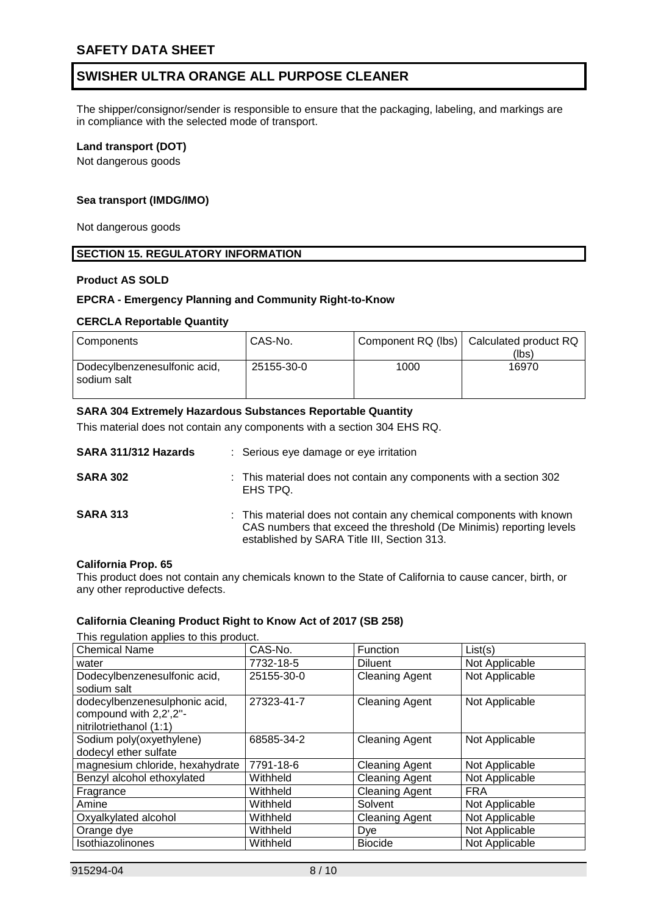The shipper/consignor/sender is responsible to ensure that the packaging, labeling, and markings are in compliance with the selected mode of transport.

#### **Land transport (DOT)**

Not dangerous goods

#### **Sea transport (IMDG/IMO)**

Not dangerous goods

#### **SECTION 15. REGULATORY INFORMATION**

#### **Product AS SOLD**

#### **EPCRA - Emergency Planning and Community Right-to-Know**

#### **CERCLA Reportable Quantity**

| Components                                  | CAS-No.    |      | Component RQ (lbs)   Calculated product RQ<br>(lbs) |
|---------------------------------------------|------------|------|-----------------------------------------------------|
| Dodecylbenzenesulfonic acid,<br>sodium salt | 25155-30-0 | 1000 | 16970                                               |

#### **SARA 304 Extremely Hazardous Substances Reportable Quantity**

This material does not contain any components with a section 304 EHS RQ.

| SARA 311/312 Hazards | : Serious eye damage or eye irritation                                                                                                                                                    |
|----------------------|-------------------------------------------------------------------------------------------------------------------------------------------------------------------------------------------|
| <b>SARA 302</b>      | : This material does not contain any components with a section 302<br>EHS TPQ.                                                                                                            |
| <b>SARA 313</b>      | : This material does not contain any chemical components with known<br>CAS numbers that exceed the threshold (De Minimis) reporting levels<br>established by SARA Title III, Section 313. |

#### **California Prop. 65**

This product does not contain any chemicals known to the State of California to cause cancer, birth, or any other reproductive defects.

#### **California Cleaning Product Right to Know Act of 2017 (SB 258)**

This requisition applies to this product

| This regulation applies to this product.                                           |            |                       |                |  |  |  |
|------------------------------------------------------------------------------------|------------|-----------------------|----------------|--|--|--|
| <b>Chemical Name</b>                                                               | CAS-No.    | Function              | List(s)        |  |  |  |
| water                                                                              | 7732-18-5  | <b>Diluent</b>        | Not Applicable |  |  |  |
| Dodecylbenzenesulfonic acid,<br>sodium salt                                        | 25155-30-0 | <b>Cleaning Agent</b> | Not Applicable |  |  |  |
| dodecylbenzenesulphonic acid,<br>compound with 2,2',2"-<br>nitrilotriethanol (1:1) | 27323-41-7 | <b>Cleaning Agent</b> | Not Applicable |  |  |  |
| Sodium poly(oxyethylene)<br>dodecyl ether sulfate                                  | 68585-34-2 | <b>Cleaning Agent</b> | Not Applicable |  |  |  |
| magnesium chloride, hexahydrate                                                    | 7791-18-6  | <b>Cleaning Agent</b> | Not Applicable |  |  |  |
| Benzyl alcohol ethoxylated                                                         | Withheld   | <b>Cleaning Agent</b> | Not Applicable |  |  |  |
| Fragrance                                                                          | Withheld   | <b>Cleaning Agent</b> | <b>FRA</b>     |  |  |  |
| Amine                                                                              | Withheld   | Solvent               | Not Applicable |  |  |  |
| Oxyalkylated alcohol                                                               | Withheld   | <b>Cleaning Agent</b> | Not Applicable |  |  |  |
| Orange dye                                                                         | Withheld   | Dye                   | Not Applicable |  |  |  |
| Isothiazolinones                                                                   | Withheld   | <b>Biocide</b>        | Not Applicable |  |  |  |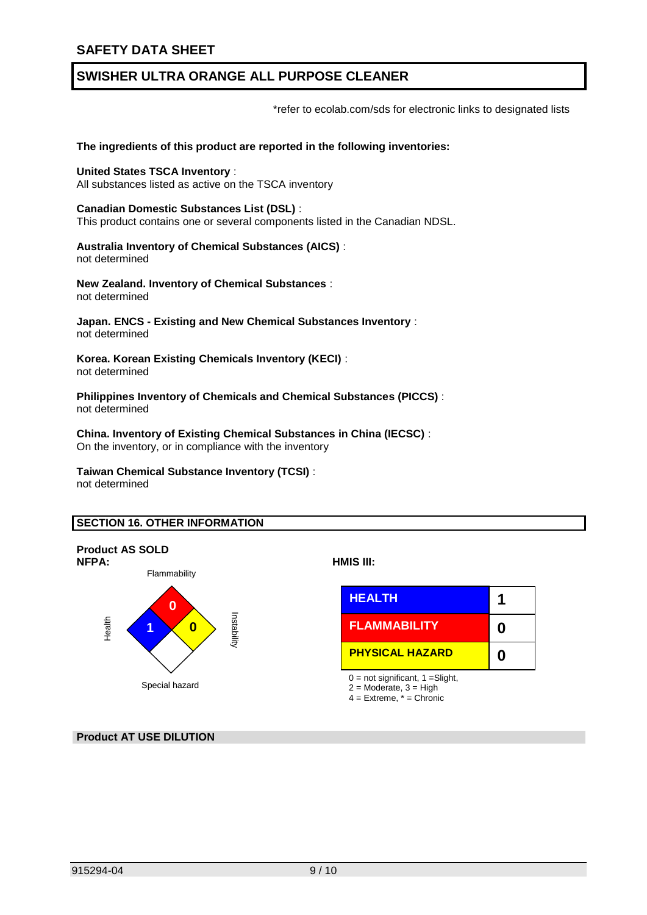\*refer to ecolab.com/sds for electronic links to designated lists

#### **The ingredients of this product are reported in the following inventories:**

**United States TSCA Inventory** : All substances listed as active on the TSCA inventory

**Canadian Domestic Substances List (DSL)** : This product contains one or several components listed in the Canadian NDSL.

**Australia Inventory of Chemical Substances (AICS)** : not determined

**New Zealand. Inventory of Chemical Substances** : not determined

**Japan. ENCS - Existing and New Chemical Substances Inventory** : not determined

**Korea. Korean Existing Chemicals Inventory (KECI)** : not determined

**Philippines Inventory of Chemicals and Chemical Substances (PICCS)** : not determined

**China. Inventory of Existing Chemical Substances in China (IECSC)** : On the inventory, or in compliance with the inventory

### **Taiwan Chemical Substance Inventory (TCSI)** :

not determined

#### **SECTION 16. OTHER INFORMATION**





- $2 =$  Moderate,  $3 =$  High
- $4 =$  Extreme,  $* =$  Chronic

**Product AT USE DILUTION**